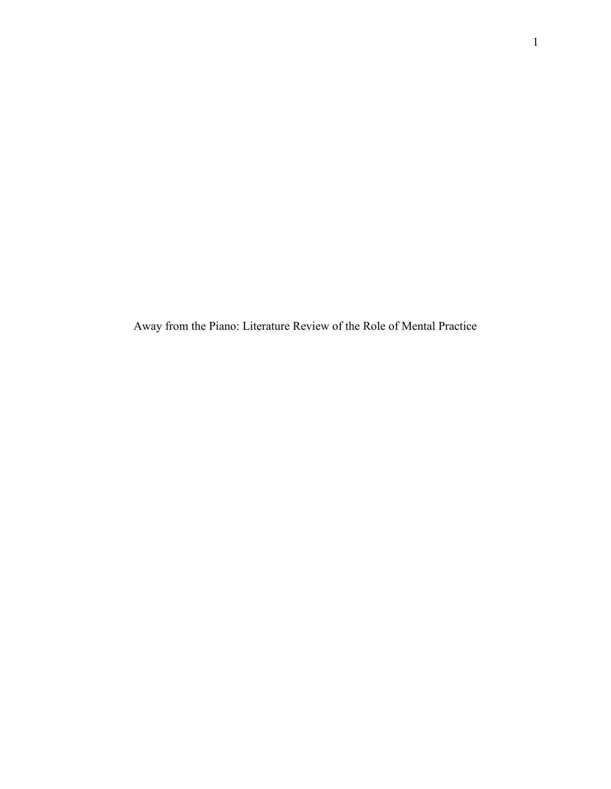Away from the Piano: Literature Review of the Role of Mental Practice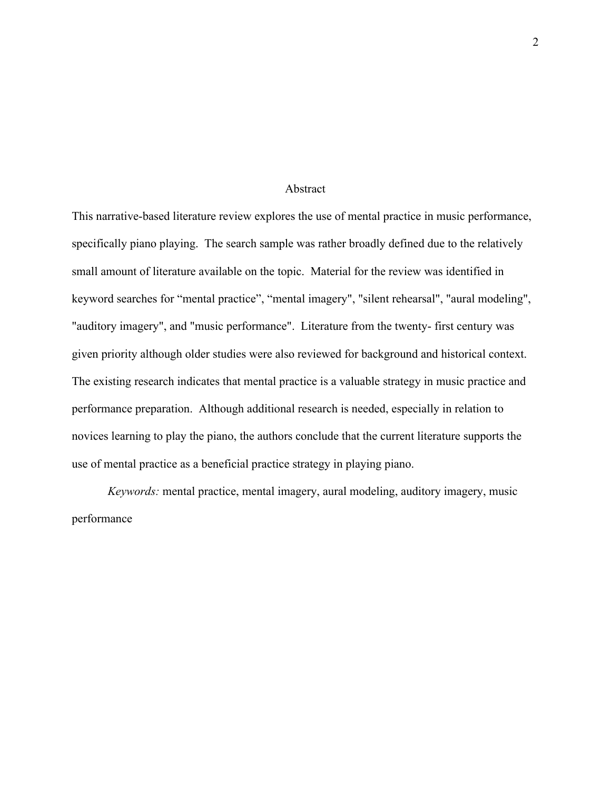#### Abstract

This narrative-based literature review explores the use of mental practice in music performance, specifically piano playing. The search sample was rather broadly defined due to the relatively small amount of literature available on the topic. Material for the review was identified in keyword searches for "mental practice", "mental imagery", "silent rehearsal", "aural modeling", "auditory imagery", and "music performance". Literature from the twenty- first century was given priority although older studies were also reviewed for background and historical context. The existing research indicates that mental practice is a valuable strategy in music practice and performance preparation. Although additional research is needed, especially in relation to novices learning to play the piano, the authors conclude that the current literature supports the use of mental practice as a beneficial practice strategy in playing piano.

*Keywords:* mental practice, mental imagery, aural modeling, auditory imagery, music performance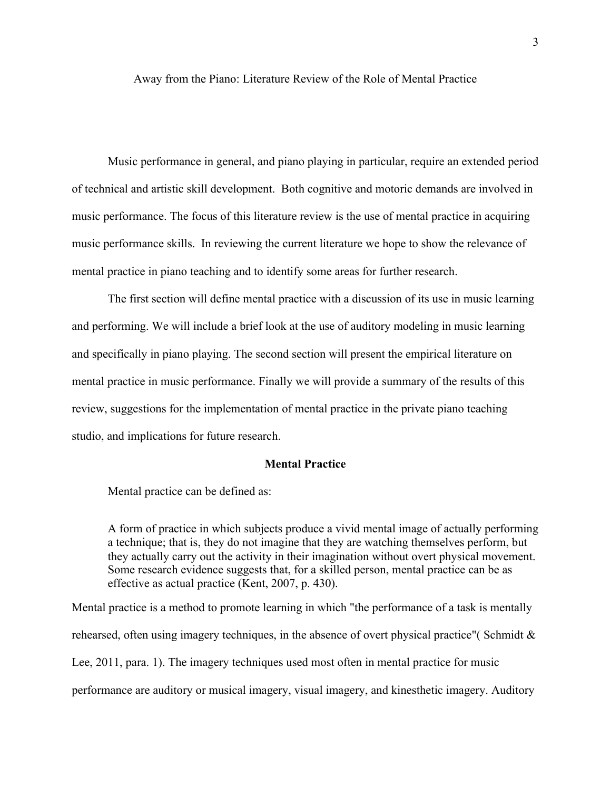Away from the Piano: Literature Review of the Role of Mental Practice

Music performance in general, and piano playing in particular, require an extended period of technical and artistic skill development. Both cognitive and motoric demands are involved in music performance. The focus of this literature review is the use of mental practice in acquiring music performance skills. In reviewing the current literature we hope to show the relevance of mental practice in piano teaching and to identify some areas for further research.

The first section will define mental practice with a discussion of its use in music learning and performing. We will include a brief look at the use of auditory modeling in music learning and specifically in piano playing. The second section will present the empirical literature on mental practice in music performance. Finally we will provide a summary of the results of this review, suggestions for the implementation of mental practice in the private piano teaching studio, and implications for future research.

### **Mental Practice**

Mental practice can be defined as:

A form of practice in which subjects produce a vivid mental image of actually performing a technique; that is, they do not imagine that they are watching themselves perform, but they actually carry out the activity in their imagination without overt physical movement. Some research evidence suggests that, for a skilled person, mental practice can be as effective as actual practice (Kent, 2007, p. 430).

Mental practice is a method to promote learning in which "the performance of a task is mentally rehearsed, often using imagery techniques, in the absence of overt physical practice"( Schmidt & Lee, 2011, para. 1). The imagery techniques used most often in mental practice for music performance are auditory or musical imagery, visual imagery, and kinesthetic imagery. Auditory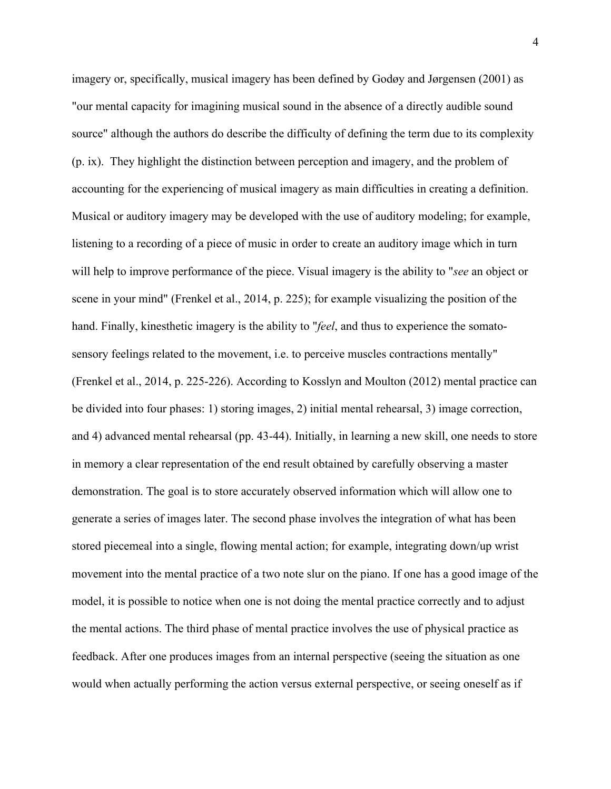imagery or, specifically, musical imagery has been defined by Godøy and Jørgensen (2001) as "our mental capacity for imagining musical sound in the absence of a directly audible sound source" although the authors do describe the difficulty of defining the term due to its complexity (p. ix). They highlight the distinction between perception and imagery, and the problem of accounting for the experiencing of musical imagery as main difficulties in creating a definition. Musical or auditory imagery may be developed with the use of auditory modeling; for example, listening to a recording of a piece of music in order to create an auditory image which in turn will help to improve performance of the piece. Visual imagery is the ability to "*see* an object or scene in your mind" (Frenkel et al., 2014, p. 225); for example visualizing the position of the hand. Finally, kinesthetic imagery is the ability to "*feel*, and thus to experience the somatosensory feelings related to the movement, i.e. to perceive muscles contractions mentally" (Frenkel et al., 2014, p. 225-226). According to Kosslyn and Moulton (2012) mental practice can be divided into four phases: 1) storing images, 2) initial mental rehearsal, 3) image correction, and 4) advanced mental rehearsal (pp. 43-44). Initially, in learning a new skill, one needs to store in memory a clear representation of the end result obtained by carefully observing a master demonstration. The goal is to store accurately observed information which will allow one to generate a series of images later. The second phase involves the integration of what has been stored piecemeal into a single, flowing mental action; for example, integrating down/up wrist movement into the mental practice of a two note slur on the piano. If one has a good image of the model, it is possible to notice when one is not doing the mental practice correctly and to adjust the mental actions. The third phase of mental practice involves the use of physical practice as feedback. After one produces images from an internal perspective (seeing the situation as one would when actually performing the action versus external perspective, or seeing oneself as if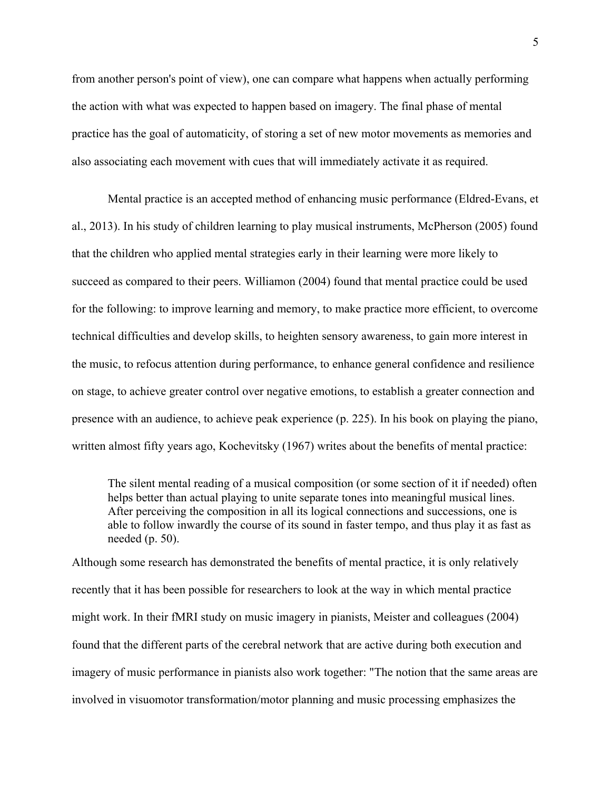from another person's point of view), one can compare what happens when actually performing the action with what was expected to happen based on imagery. The final phase of mental practice has the goal of automaticity, of storing a set of new motor movements as memories and also associating each movement with cues that will immediately activate it as required.

Mental practice is an accepted method of enhancing music performance (Eldred-Evans, et al., 2013). In his study of children learning to play musical instruments, McPherson (2005) found that the children who applied mental strategies early in their learning were more likely to succeed as compared to their peers. Williamon (2004) found that mental practice could be used for the following: to improve learning and memory, to make practice more efficient, to overcome technical difficulties and develop skills, to heighten sensory awareness, to gain more interest in the music, to refocus attention during performance, to enhance general confidence and resilience on stage, to achieve greater control over negative emotions, to establish a greater connection and presence with an audience, to achieve peak experience (p. 225). In his book on playing the piano, written almost fifty years ago, Kochevitsky (1967) writes about the benefits of mental practice:

The silent mental reading of a musical composition (or some section of it if needed) often helps better than actual playing to unite separate tones into meaningful musical lines. After perceiving the composition in all its logical connections and successions, one is able to follow inwardly the course of its sound in faster tempo, and thus play it as fast as needed (p. 50).

Although some research has demonstrated the benefits of mental practice, it is only relatively recently that it has been possible for researchers to look at the way in which mental practice might work. In their fMRI study on music imagery in pianists, Meister and colleagues (2004) found that the different parts of the cerebral network that are active during both execution and imagery of music performance in pianists also work together: "The notion that the same areas are involved in visuomotor transformation/motor planning and music processing emphasizes the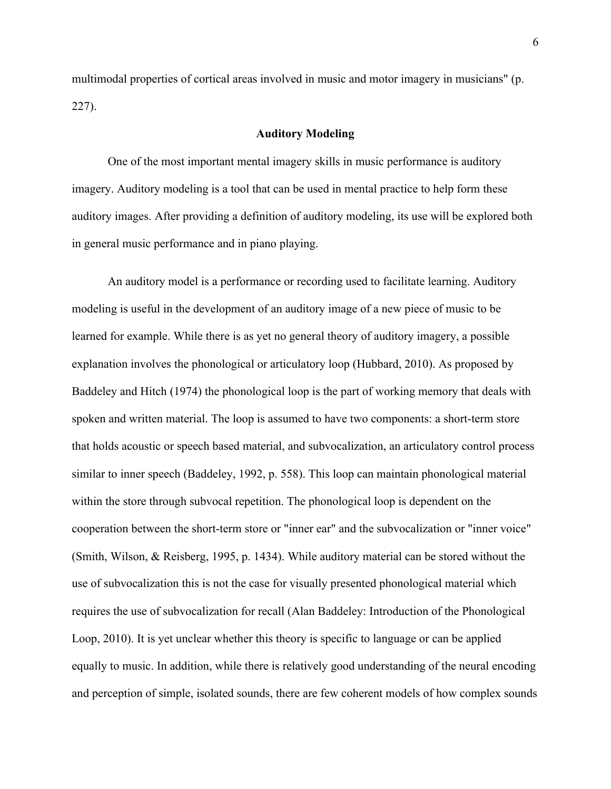multimodal properties of cortical areas involved in music and motor imagery in musicians" (p. 227).

## **Auditory Modeling**

One of the most important mental imagery skills in music performance is auditory imagery. Auditory modeling is a tool that can be used in mental practice to help form these auditory images. After providing a definition of auditory modeling, its use will be explored both in general music performance and in piano playing.

An auditory model is a performance or recording used to facilitate learning. Auditory modeling is useful in the development of an auditory image of a new piece of music to be learned for example. While there is as yet no general theory of auditory imagery, a possible explanation involves the phonological or articulatory loop (Hubbard, 2010). As proposed by Baddeley and Hitch (1974) the phonological loop is the part of working memory that deals with spoken and written material. The loop is assumed to have two components: a short-term store that holds acoustic or speech based material, and subvocalization, an articulatory control process similar to inner speech (Baddeley, 1992, p. 558). This loop can maintain phonological material within the store through subvocal repetition. The phonological loop is dependent on the cooperation between the short-term store or "inner ear" and the subvocalization or "inner voice" (Smith, Wilson, & Reisberg, 1995, p. 1434). While auditory material can be stored without the use of subvocalization this is not the case for visually presented phonological material which requires the use of subvocalization for recall (Alan Baddeley: Introduction of the Phonological Loop, 2010). It is yet unclear whether this theory is specific to language or can be applied equally to music. In addition, while there is relatively good understanding of the neural encoding and perception of simple, isolated sounds, there are few coherent models of how complex sounds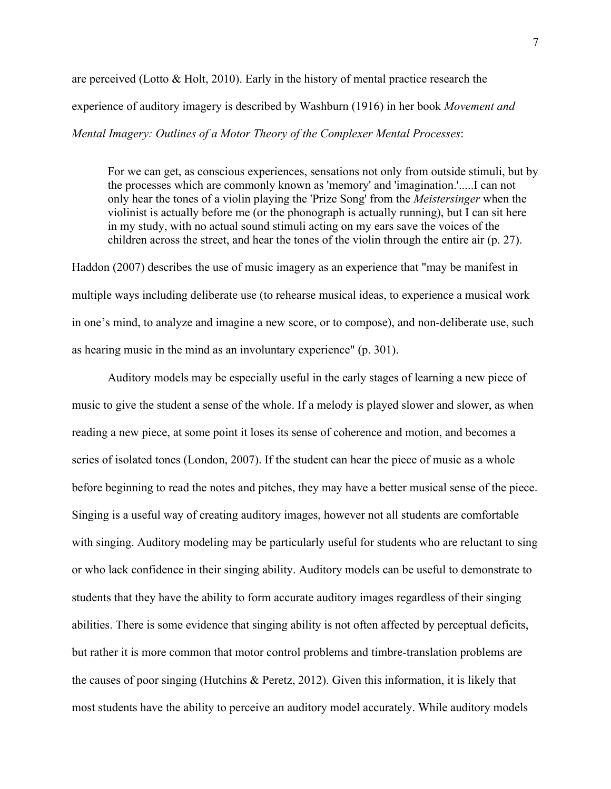are perceived (Lotto & Holt, 2010). Early in the history of mental practice research the experience of auditory imagery is described by Washburn (1916) in her book *Movement and Mental Imagery: Outlines of a Motor Theory of the Complexer Mental Processes*:

For we can get, as conscious experiences, sensations not only from outside stimuli, but by the processes which are commonly known as 'memory' and 'imagination.'.....I can not only hear the tones of a violin playing the 'Prize Song' from the *Meistersinger* when the violinist is actually before me (or the phonograph is actually running), but I can sit here in my study, with no actual sound stimuli acting on my ears save the voices of the children across the street, and hear the tones of the violin through the entire air (p. 27).

Haddon (2007) describes the use of music imagery as an experience that "may be manifest in multiple ways including deliberate use (to rehearse musical ideas, to experience a musical work in one's mind, to analyze and imagine a new score, or to compose), and non-deliberate use, such as hearing music in the mind as an involuntary experience" (p. 301).

Auditory models may be especially useful in the early stages of learning a new piece of music to give the student a sense of the whole. If a melody is played slower and slower, as when reading a new piece, at some point it loses its sense of coherence and motion, and becomes a series of isolated tones (London, 2007). If the student can hear the piece of music as a whole before beginning to read the notes and pitches, they may have a better musical sense of the piece. Singing is a useful way of creating auditory images, however not all students are comfortable with singing. Auditory modeling may be particularly useful for students who are reluctant to sing or who lack confidence in their singing ability. Auditory models can be useful to demonstrate to students that they have the ability to form accurate auditory images regardless of their singing abilities. There is some evidence that singing ability is not often affected by perceptual deficits, but rather it is more common that motor control problems and timbre-translation problems are the causes of poor singing (Hutchins & Peretz, 2012). Given this information, it is likely that most students have the ability to perceive an auditory model accurately. While auditory models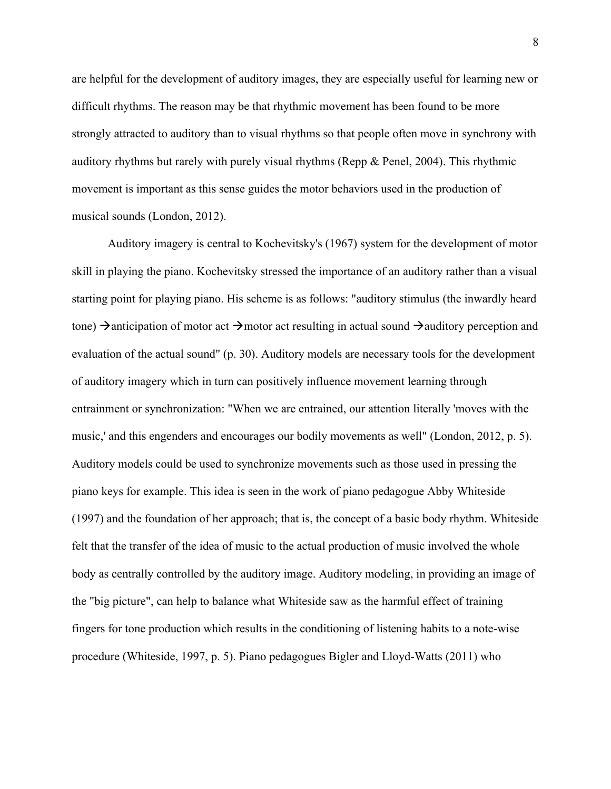are helpful for the development of auditory images, they are especially useful for learning new or difficult rhythms. The reason may be that rhythmic movement has been found to be more strongly attracted to auditory than to visual rhythms so that people often move in synchrony with auditory rhythms but rarely with purely visual rhythms (Repp & Penel, 2004). This rhythmic movement is important as this sense guides the motor behaviors used in the production of musical sounds (London, 2012).

Auditory imagery is central to Kochevitsky's (1967) system for the development of motor skill in playing the piano. Kochevitsky stressed the importance of an auditory rather than a visual starting point for playing piano. His scheme is as follows: "auditory stimulus (the inwardly heard tone)  $\rightarrow$  anticipation of motor act  $\rightarrow$  motor act resulting in actual sound  $\rightarrow$  auditory perception and evaluation of the actual sound" (p. 30). Auditory models are necessary tools for the development of auditory imagery which in turn can positively influence movement learning through entrainment or synchronization: "When we are entrained, our attention literally 'moves with the music,' and this engenders and encourages our bodily movements as well" (London, 2012, p. 5). Auditory models could be used to synchronize movements such as those used in pressing the piano keys for example. This idea is seen in the work of piano pedagogue Abby Whiteside (1997) and the foundation of her approach; that is, the concept of a basic body rhythm. Whiteside felt that the transfer of the idea of music to the actual production of music involved the whole body as centrally controlled by the auditory image. Auditory modeling, in providing an image of the "big picture", can help to balance what Whiteside saw as the harmful effect of training fingers for tone production which results in the conditioning of listening habits to a note-wise procedure (Whiteside, 1997, p. 5). Piano pedagogues Bigler and Lloyd-Watts (2011) who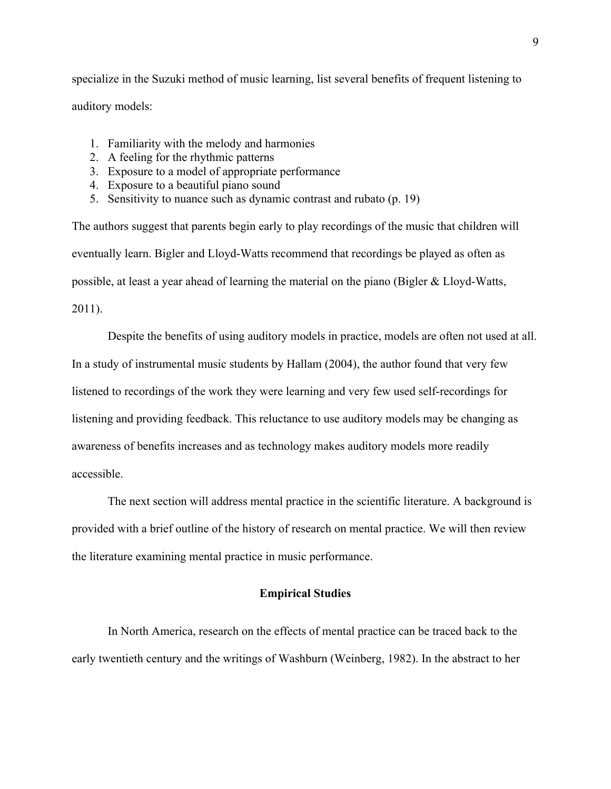specialize in the Suzuki method of music learning, list several benefits of frequent listening to auditory models:

- 1. Familiarity with the melody and harmonies
- 2. A feeling for the rhythmic patterns
- 3. Exposure to a model of appropriate performance
- 4. Exposure to a beautiful piano sound
- 5. Sensitivity to nuance such as dynamic contrast and rubato (p. 19)

The authors suggest that parents begin early to play recordings of the music that children will eventually learn. Bigler and Lloyd-Watts recommend that recordings be played as often as possible, at least a year ahead of learning the material on the piano (Bigler & Lloyd-Watts, 2011).

Despite the benefits of using auditory models in practice, models are often not used at all. In a study of instrumental music students by Hallam (2004), the author found that very few listened to recordings of the work they were learning and very few used self-recordings for listening and providing feedback. This reluctance to use auditory models may be changing as awareness of benefits increases and as technology makes auditory models more readily accessible.

The next section will address mental practice in the scientific literature. A background is provided with a brief outline of the history of research on mental practice. We will then review the literature examining mental practice in music performance.

# **Empirical Studies**

In North America, research on the effects of mental practice can be traced back to the early twentieth century and the writings of Washburn (Weinberg, 1982). In the abstract to her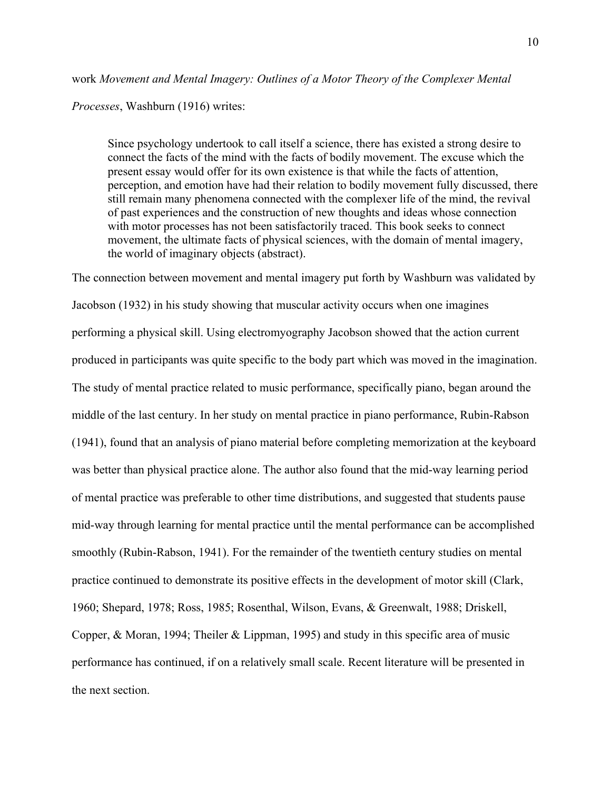## work *Movement and Mental Imagery: Outlines of a Motor Theory of the Complexer Mental*

*Processes*, Washburn (1916) writes:

Since psychology undertook to call itself a science, there has existed a strong desire to connect the facts of the mind with the facts of bodily movement. The excuse which the present essay would offer for its own existence is that while the facts of attention, perception, and emotion have had their relation to bodily movement fully discussed, there still remain many phenomena connected with the complexer life of the mind, the revival of past experiences and the construction of new thoughts and ideas whose connection with motor processes has not been satisfactorily traced. This book seeks to connect movement, the ultimate facts of physical sciences, with the domain of mental imagery, the world of imaginary objects (abstract).

The connection between movement and mental imagery put forth by Washburn was validated by Jacobson (1932) in his study showing that muscular activity occurs when one imagines performing a physical skill. Using electromyography Jacobson showed that the action current produced in participants was quite specific to the body part which was moved in the imagination. The study of mental practice related to music performance, specifically piano, began around the middle of the last century. In her study on mental practice in piano performance, Rubin-Rabson (1941), found that an analysis of piano material before completing memorization at the keyboard was better than physical practice alone. The author also found that the mid-way learning period of mental practice was preferable to other time distributions, and suggested that students pause mid-way through learning for mental practice until the mental performance can be accomplished smoothly (Rubin-Rabson, 1941). For the remainder of the twentieth century studies on mental practice continued to demonstrate its positive effects in the development of motor skill (Clark, 1960; Shepard, 1978; Ross, 1985; Rosenthal, Wilson, Evans, & Greenwalt, 1988; Driskell, Copper, & Moran, 1994; Theiler & Lippman, 1995) and study in this specific area of music performance has continued, if on a relatively small scale. Recent literature will be presented in the next section.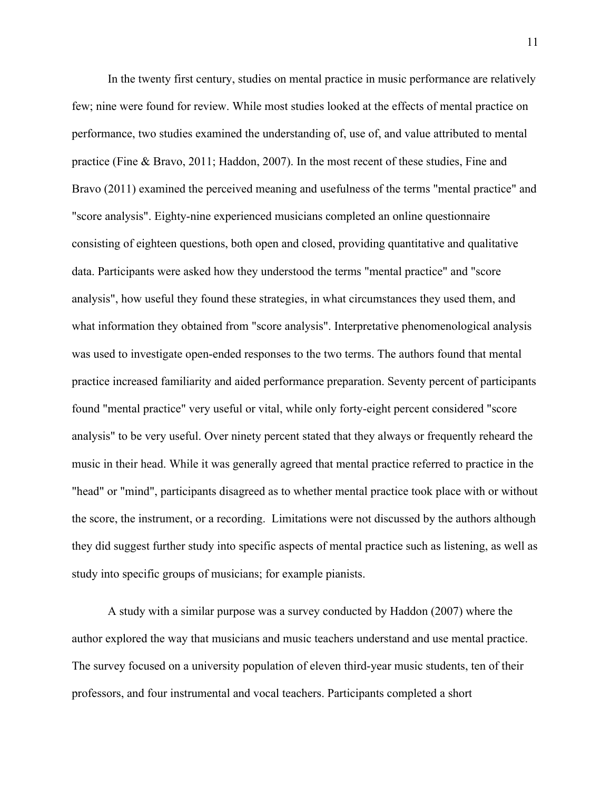In the twenty first century, studies on mental practice in music performance are relatively few; nine were found for review. While most studies looked at the effects of mental practice on performance, two studies examined the understanding of, use of, and value attributed to mental practice (Fine & Bravo, 2011; Haddon, 2007). In the most recent of these studies, Fine and Bravo (2011) examined the perceived meaning and usefulness of the terms "mental practice" and "score analysis". Eighty-nine experienced musicians completed an online questionnaire consisting of eighteen questions, both open and closed, providing quantitative and qualitative data. Participants were asked how they understood the terms "mental practice" and "score analysis", how useful they found these strategies, in what circumstances they used them, and what information they obtained from "score analysis". Interpretative phenomenological analysis was used to investigate open-ended responses to the two terms. The authors found that mental practice increased familiarity and aided performance preparation. Seventy percent of participants found "mental practice" very useful or vital, while only forty-eight percent considered "score analysis" to be very useful. Over ninety percent stated that they always or frequently reheard the music in their head. While it was generally agreed that mental practice referred to practice in the "head" or "mind", participants disagreed as to whether mental practice took place with or without the score, the instrument, or a recording. Limitations were not discussed by the authors although they did suggest further study into specific aspects of mental practice such as listening, as well as study into specific groups of musicians; for example pianists.

A study with a similar purpose was a survey conducted by Haddon (2007) where the author explored the way that musicians and music teachers understand and use mental practice. The survey focused on a university population of eleven third-year music students, ten of their professors, and four instrumental and vocal teachers. Participants completed a short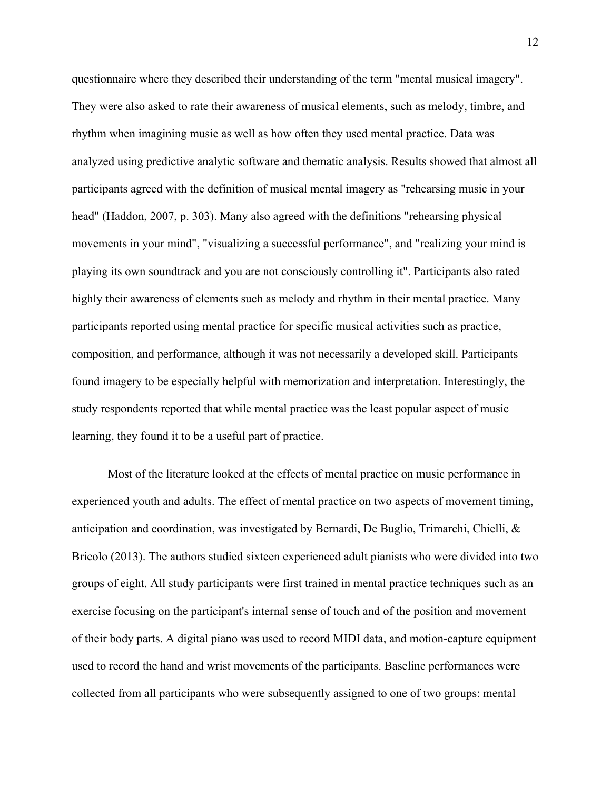questionnaire where they described their understanding of the term "mental musical imagery". They were also asked to rate their awareness of musical elements, such as melody, timbre, and rhythm when imagining music as well as how often they used mental practice. Data was analyzed using predictive analytic software and thematic analysis. Results showed that almost all participants agreed with the definition of musical mental imagery as "rehearsing music in your head" (Haddon, 2007, p. 303). Many also agreed with the definitions "rehearsing physical movements in your mind", "visualizing a successful performance", and "realizing your mind is playing its own soundtrack and you are not consciously controlling it". Participants also rated highly their awareness of elements such as melody and rhythm in their mental practice. Many participants reported using mental practice for specific musical activities such as practice, composition, and performance, although it was not necessarily a developed skill. Participants found imagery to be especially helpful with memorization and interpretation. Interestingly, the study respondents reported that while mental practice was the least popular aspect of music learning, they found it to be a useful part of practice.

Most of the literature looked at the effects of mental practice on music performance in experienced youth and adults. The effect of mental practice on two aspects of movement timing, anticipation and coordination, was investigated by Bernardi, De Buglio, Trimarchi, Chielli, & Bricolo (2013). The authors studied sixteen experienced adult pianists who were divided into two groups of eight. All study participants were first trained in mental practice techniques such as an exercise focusing on the participant's internal sense of touch and of the position and movement of their body parts. A digital piano was used to record MIDI data, and motion-capture equipment used to record the hand and wrist movements of the participants. Baseline performances were collected from all participants who were subsequently assigned to one of two groups: mental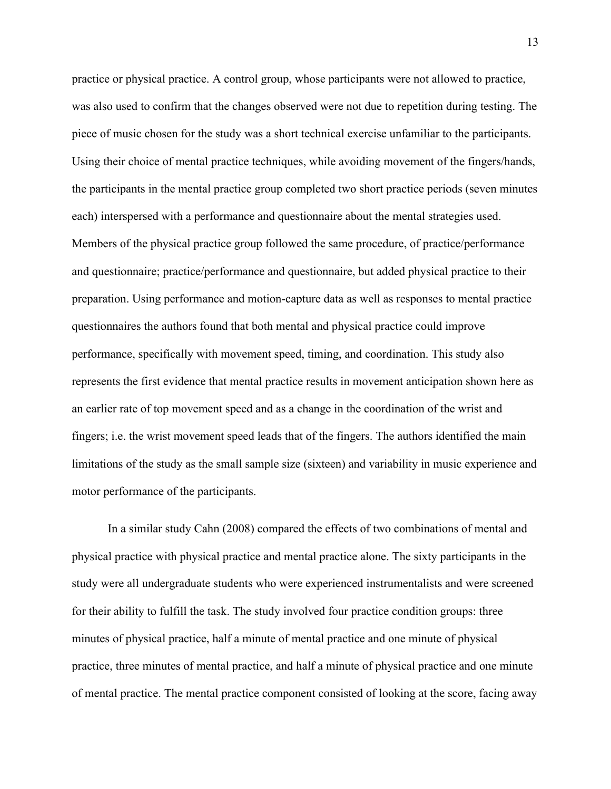practice or physical practice. A control group, whose participants were not allowed to practice, was also used to confirm that the changes observed were not due to repetition during testing. The piece of music chosen for the study was a short technical exercise unfamiliar to the participants. Using their choice of mental practice techniques, while avoiding movement of the fingers/hands, the participants in the mental practice group completed two short practice periods (seven minutes each) interspersed with a performance and questionnaire about the mental strategies used. Members of the physical practice group followed the same procedure, of practice/performance and questionnaire; practice/performance and questionnaire, but added physical practice to their preparation. Using performance and motion-capture data as well as responses to mental practice questionnaires the authors found that both mental and physical practice could improve performance, specifically with movement speed, timing, and coordination. This study also represents the first evidence that mental practice results in movement anticipation shown here as an earlier rate of top movement speed and as a change in the coordination of the wrist and fingers; i.e. the wrist movement speed leads that of the fingers. The authors identified the main limitations of the study as the small sample size (sixteen) and variability in music experience and motor performance of the participants.

In a similar study Cahn (2008) compared the effects of two combinations of mental and physical practice with physical practice and mental practice alone. The sixty participants in the study were all undergraduate students who were experienced instrumentalists and were screened for their ability to fulfill the task. The study involved four practice condition groups: three minutes of physical practice, half a minute of mental practice and one minute of physical practice, three minutes of mental practice, and half a minute of physical practice and one minute of mental practice. The mental practice component consisted of looking at the score, facing away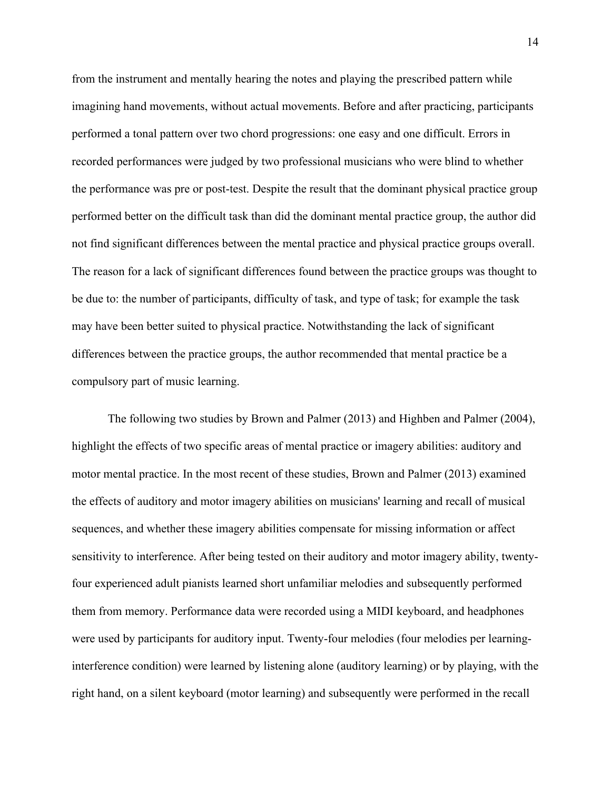from the instrument and mentally hearing the notes and playing the prescribed pattern while imagining hand movements, without actual movements. Before and after practicing, participants performed a tonal pattern over two chord progressions: one easy and one difficult. Errors in recorded performances were judged by two professional musicians who were blind to whether the performance was pre or post-test. Despite the result that the dominant physical practice group performed better on the difficult task than did the dominant mental practice group, the author did not find significant differences between the mental practice and physical practice groups overall. The reason for a lack of significant differences found between the practice groups was thought to be due to: the number of participants, difficulty of task, and type of task; for example the task may have been better suited to physical practice. Notwithstanding the lack of significant differences between the practice groups, the author recommended that mental practice be a compulsory part of music learning.

The following two studies by Brown and Palmer (2013) and Highben and Palmer (2004), highlight the effects of two specific areas of mental practice or imagery abilities: auditory and motor mental practice. In the most recent of these studies, Brown and Palmer (2013) examined the effects of auditory and motor imagery abilities on musicians' learning and recall of musical sequences, and whether these imagery abilities compensate for missing information or affect sensitivity to interference. After being tested on their auditory and motor imagery ability, twentyfour experienced adult pianists learned short unfamiliar melodies and subsequently performed them from memory. Performance data were recorded using a MIDI keyboard, and headphones were used by participants for auditory input. Twenty-four melodies (four melodies per learninginterference condition) were learned by listening alone (auditory learning) or by playing, with the right hand, on a silent keyboard (motor learning) and subsequently were performed in the recall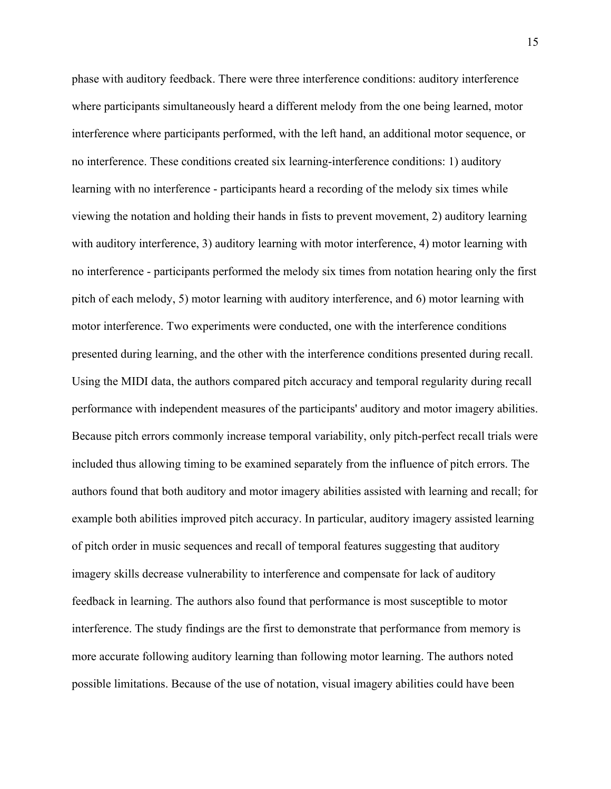phase with auditory feedback. There were three interference conditions: auditory interference where participants simultaneously heard a different melody from the one being learned, motor interference where participants performed, with the left hand, an additional motor sequence, or no interference. These conditions created six learning-interference conditions: 1) auditory learning with no interference - participants heard a recording of the melody six times while viewing the notation and holding their hands in fists to prevent movement, 2) auditory learning with auditory interference, 3) auditory learning with motor interference, 4) motor learning with no interference - participants performed the melody six times from notation hearing only the first pitch of each melody, 5) motor learning with auditory interference, and 6) motor learning with motor interference. Two experiments were conducted, one with the interference conditions presented during learning, and the other with the interference conditions presented during recall. Using the MIDI data, the authors compared pitch accuracy and temporal regularity during recall performance with independent measures of the participants' auditory and motor imagery abilities. Because pitch errors commonly increase temporal variability, only pitch-perfect recall trials were included thus allowing timing to be examined separately from the influence of pitch errors. The authors found that both auditory and motor imagery abilities assisted with learning and recall; for example both abilities improved pitch accuracy. In particular, auditory imagery assisted learning of pitch order in music sequences and recall of temporal features suggesting that auditory imagery skills decrease vulnerability to interference and compensate for lack of auditory feedback in learning. The authors also found that performance is most susceptible to motor interference. The study findings are the first to demonstrate that performance from memory is more accurate following auditory learning than following motor learning. The authors noted possible limitations. Because of the use of notation, visual imagery abilities could have been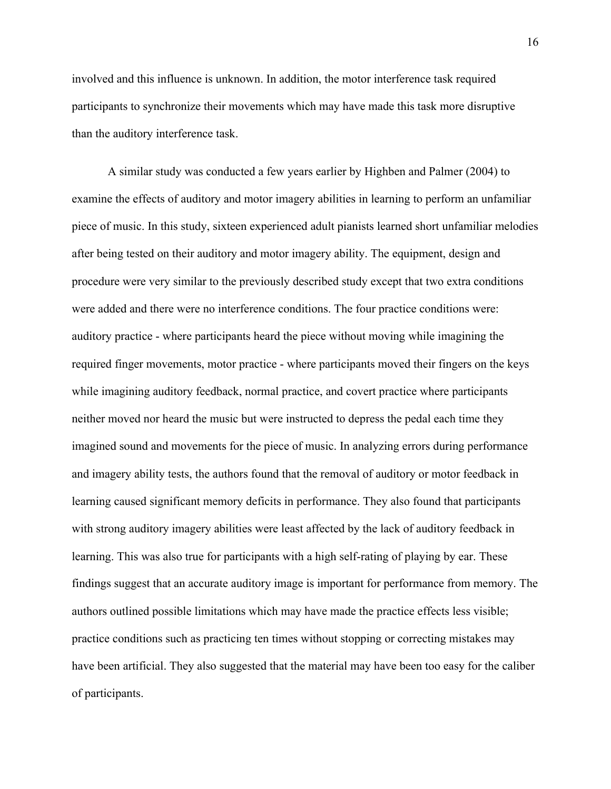involved and this influence is unknown. In addition, the motor interference task required participants to synchronize their movements which may have made this task more disruptive than the auditory interference task.

A similar study was conducted a few years earlier by Highben and Palmer (2004) to examine the effects of auditory and motor imagery abilities in learning to perform an unfamiliar piece of music. In this study, sixteen experienced adult pianists learned short unfamiliar melodies after being tested on their auditory and motor imagery ability. The equipment, design and procedure were very similar to the previously described study except that two extra conditions were added and there were no interference conditions. The four practice conditions were: auditory practice - where participants heard the piece without moving while imagining the required finger movements, motor practice - where participants moved their fingers on the keys while imagining auditory feedback, normal practice, and covert practice where participants neither moved nor heard the music but were instructed to depress the pedal each time they imagined sound and movements for the piece of music. In analyzing errors during performance and imagery ability tests, the authors found that the removal of auditory or motor feedback in learning caused significant memory deficits in performance. They also found that participants with strong auditory imagery abilities were least affected by the lack of auditory feedback in learning. This was also true for participants with a high self-rating of playing by ear. These findings suggest that an accurate auditory image is important for performance from memory. The authors outlined possible limitations which may have made the practice effects less visible; practice conditions such as practicing ten times without stopping or correcting mistakes may have been artificial. They also suggested that the material may have been too easy for the caliber of participants.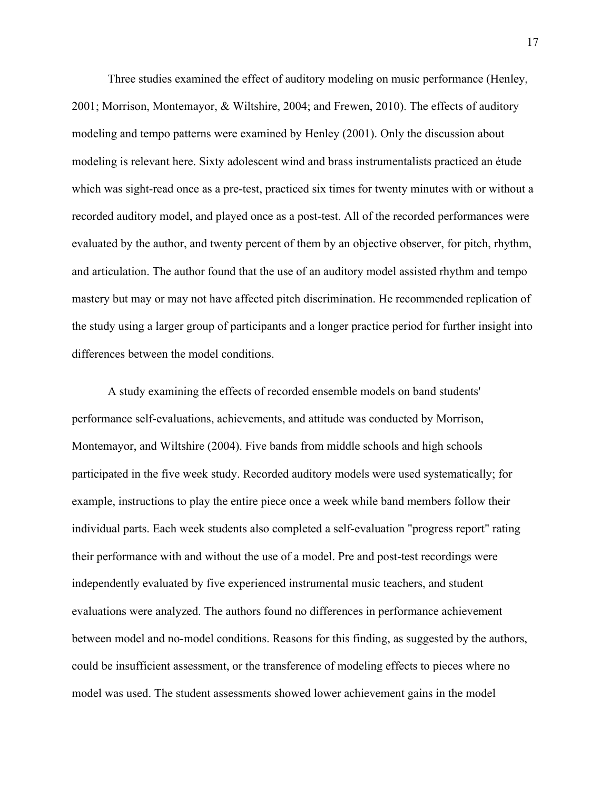Three studies examined the effect of auditory modeling on music performance (Henley, 2001; Morrison, Montemayor, & Wiltshire, 2004; and Frewen, 2010). The effects of auditory modeling and tempo patterns were examined by Henley (2001). Only the discussion about modeling is relevant here. Sixty adolescent wind and brass instrumentalists practiced an étude which was sight-read once as a pre-test, practiced six times for twenty minutes with or without a recorded auditory model, and played once as a post-test. All of the recorded performances were evaluated by the author, and twenty percent of them by an objective observer, for pitch, rhythm, and articulation. The author found that the use of an auditory model assisted rhythm and tempo mastery but may or may not have affected pitch discrimination. He recommended replication of the study using a larger group of participants and a longer practice period for further insight into differences between the model conditions.

A study examining the effects of recorded ensemble models on band students' performance self-evaluations, achievements, and attitude was conducted by Morrison, Montemayor, and Wiltshire (2004). Five bands from middle schools and high schools participated in the five week study. Recorded auditory models were used systematically; for example, instructions to play the entire piece once a week while band members follow their individual parts. Each week students also completed a self-evaluation "progress report" rating their performance with and without the use of a model. Pre and post-test recordings were independently evaluated by five experienced instrumental music teachers, and student evaluations were analyzed. The authors found no differences in performance achievement between model and no-model conditions. Reasons for this finding, as suggested by the authors, could be insufficient assessment, or the transference of modeling effects to pieces where no model was used. The student assessments showed lower achievement gains in the model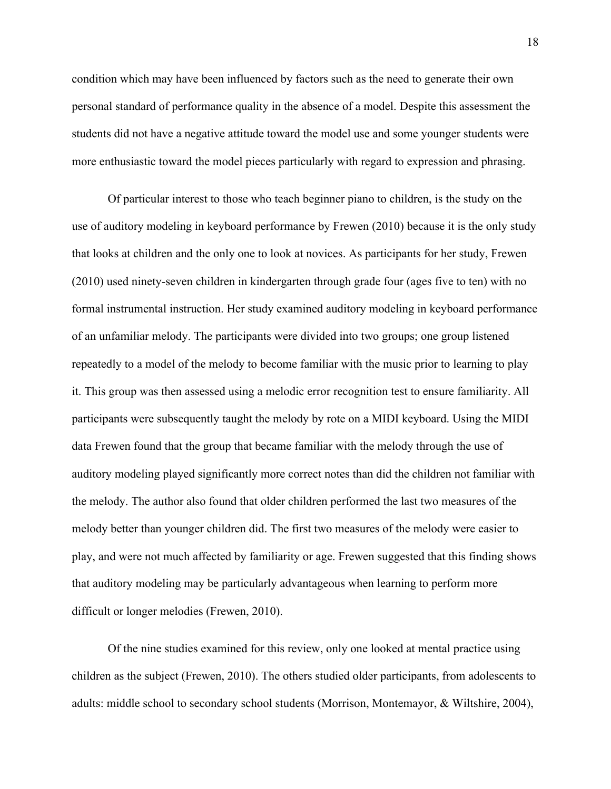condition which may have been influenced by factors such as the need to generate their own personal standard of performance quality in the absence of a model. Despite this assessment the students did not have a negative attitude toward the model use and some younger students were more enthusiastic toward the model pieces particularly with regard to expression and phrasing.

Of particular interest to those who teach beginner piano to children, is the study on the use of auditory modeling in keyboard performance by Frewen (2010) because it is the only study that looks at children and the only one to look at novices. As participants for her study, Frewen (2010) used ninety-seven children in kindergarten through grade four (ages five to ten) with no formal instrumental instruction. Her study examined auditory modeling in keyboard performance of an unfamiliar melody. The participants were divided into two groups; one group listened repeatedly to a model of the melody to become familiar with the music prior to learning to play it. This group was then assessed using a melodic error recognition test to ensure familiarity. All participants were subsequently taught the melody by rote on a MIDI keyboard. Using the MIDI data Frewen found that the group that became familiar with the melody through the use of auditory modeling played significantly more correct notes than did the children not familiar with the melody. The author also found that older children performed the last two measures of the melody better than younger children did. The first two measures of the melody were easier to play, and were not much affected by familiarity or age. Frewen suggested that this finding shows that auditory modeling may be particularly advantageous when learning to perform more difficult or longer melodies (Frewen, 2010).

Of the nine studies examined for this review, only one looked at mental practice using children as the subject (Frewen, 2010). The others studied older participants, from adolescents to adults: middle school to secondary school students (Morrison, Montemayor, & Wiltshire, 2004),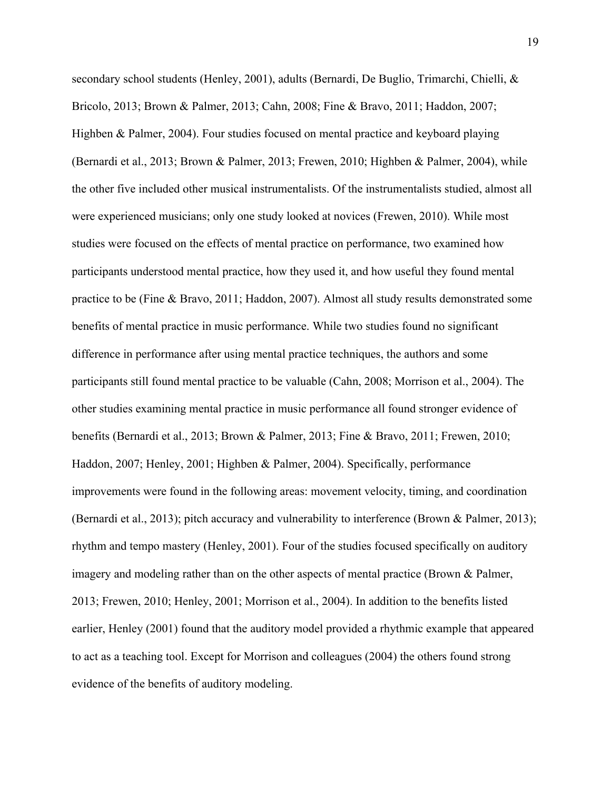secondary school students (Henley, 2001), adults (Bernardi, De Buglio, Trimarchi, Chielli, & Bricolo, 2013; Brown & Palmer, 2013; Cahn, 2008; Fine & Bravo, 2011; Haddon, 2007; Highben & Palmer, 2004). Four studies focused on mental practice and keyboard playing (Bernardi et al., 2013; Brown & Palmer, 2013; Frewen, 2010; Highben & Palmer, 2004), while the other five included other musical instrumentalists. Of the instrumentalists studied, almost all were experienced musicians; only one study looked at novices (Frewen, 2010). While most studies were focused on the effects of mental practice on performance, two examined how participants understood mental practice, how they used it, and how useful they found mental practice to be (Fine & Bravo, 2011; Haddon, 2007). Almost all study results demonstrated some benefits of mental practice in music performance. While two studies found no significant difference in performance after using mental practice techniques, the authors and some participants still found mental practice to be valuable (Cahn, 2008; Morrison et al., 2004). The other studies examining mental practice in music performance all found stronger evidence of benefits (Bernardi et al., 2013; Brown & Palmer, 2013; Fine & Bravo, 2011; Frewen, 2010; Haddon, 2007; Henley, 2001; Highben & Palmer, 2004). Specifically, performance improvements were found in the following areas: movement velocity, timing, and coordination (Bernardi et al., 2013); pitch accuracy and vulnerability to interference (Brown & Palmer, 2013); rhythm and tempo mastery (Henley, 2001). Four of the studies focused specifically on auditory imagery and modeling rather than on the other aspects of mental practice (Brown & Palmer, 2013; Frewen, 2010; Henley, 2001; Morrison et al., 2004). In addition to the benefits listed earlier, Henley (2001) found that the auditory model provided a rhythmic example that appeared to act as a teaching tool. Except for Morrison and colleagues (2004) the others found strong evidence of the benefits of auditory modeling.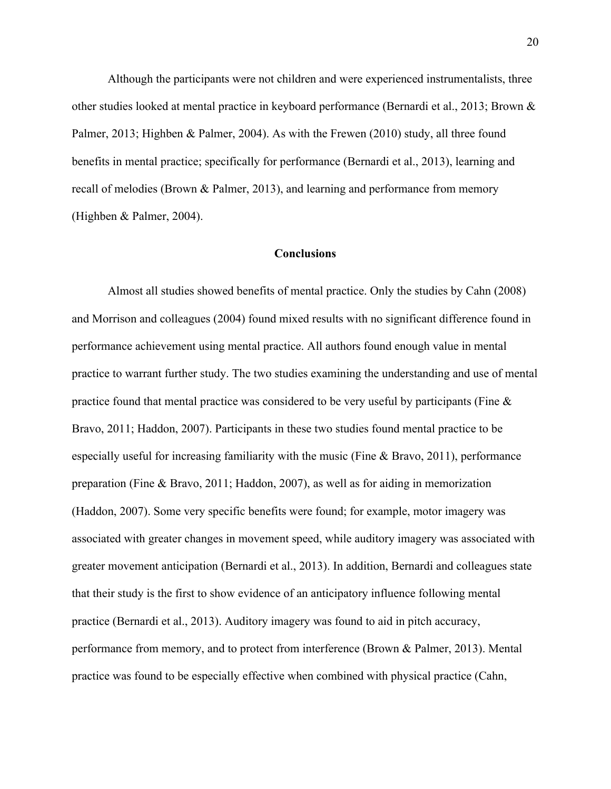Although the participants were not children and were experienced instrumentalists, three other studies looked at mental practice in keyboard performance (Bernardi et al., 2013; Brown & Palmer, 2013; Highben & Palmer, 2004). As with the Frewen (2010) study, all three found benefits in mental practice; specifically for performance (Bernardi et al., 2013), learning and recall of melodies (Brown & Palmer, 2013), and learning and performance from memory (Highben & Palmer, 2004).

# **Conclusions**

Almost all studies showed benefits of mental practice. Only the studies by Cahn (2008) and Morrison and colleagues (2004) found mixed results with no significant difference found in performance achievement using mental practice. All authors found enough value in mental practice to warrant further study. The two studies examining the understanding and use of mental practice found that mental practice was considered to be very useful by participants (Fine & Bravo, 2011; Haddon, 2007). Participants in these two studies found mental practice to be especially useful for increasing familiarity with the music (Fine & Bravo, 2011), performance preparation (Fine & Bravo, 2011; Haddon, 2007), as well as for aiding in memorization (Haddon, 2007). Some very specific benefits were found; for example, motor imagery was associated with greater changes in movement speed, while auditory imagery was associated with greater movement anticipation (Bernardi et al., 2013). In addition, Bernardi and colleagues state that their study is the first to show evidence of an anticipatory influence following mental practice (Bernardi et al., 2013). Auditory imagery was found to aid in pitch accuracy, performance from memory, and to protect from interference (Brown & Palmer, 2013). Mental practice was found to be especially effective when combined with physical practice (Cahn,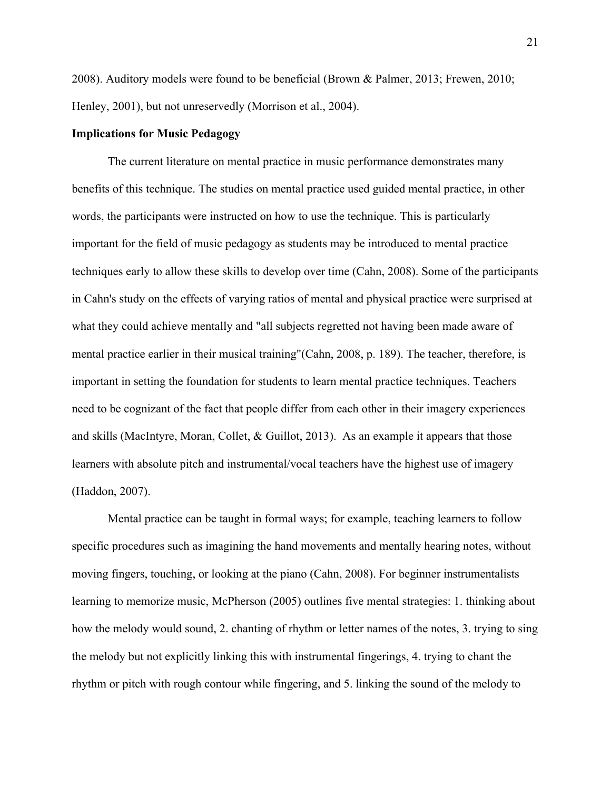2008). Auditory models were found to be beneficial (Brown & Palmer, 2013; Frewen, 2010; Henley, 2001), but not unreservedly (Morrison et al., 2004).

# **Implications for Music Pedagogy**

The current literature on mental practice in music performance demonstrates many benefits of this technique. The studies on mental practice used guided mental practice, in other words, the participants were instructed on how to use the technique. This is particularly important for the field of music pedagogy as students may be introduced to mental practice techniques early to allow these skills to develop over time (Cahn, 2008). Some of the participants in Cahn's study on the effects of varying ratios of mental and physical practice were surprised at what they could achieve mentally and "all subjects regretted not having been made aware of mental practice earlier in their musical training"(Cahn, 2008, p. 189). The teacher, therefore, is important in setting the foundation for students to learn mental practice techniques. Teachers need to be cognizant of the fact that people differ from each other in their imagery experiences and skills (MacIntyre, Moran, Collet, & Guillot, 2013). As an example it appears that those learners with absolute pitch and instrumental/vocal teachers have the highest use of imagery (Haddon, 2007).

Mental practice can be taught in formal ways; for example, teaching learners to follow specific procedures such as imagining the hand movements and mentally hearing notes, without moving fingers, touching, or looking at the piano (Cahn, 2008). For beginner instrumentalists learning to memorize music, McPherson (2005) outlines five mental strategies: 1. thinking about how the melody would sound, 2. chanting of rhythm or letter names of the notes, 3. trying to sing the melody but not explicitly linking this with instrumental fingerings, 4. trying to chant the rhythm or pitch with rough contour while fingering, and 5. linking the sound of the melody to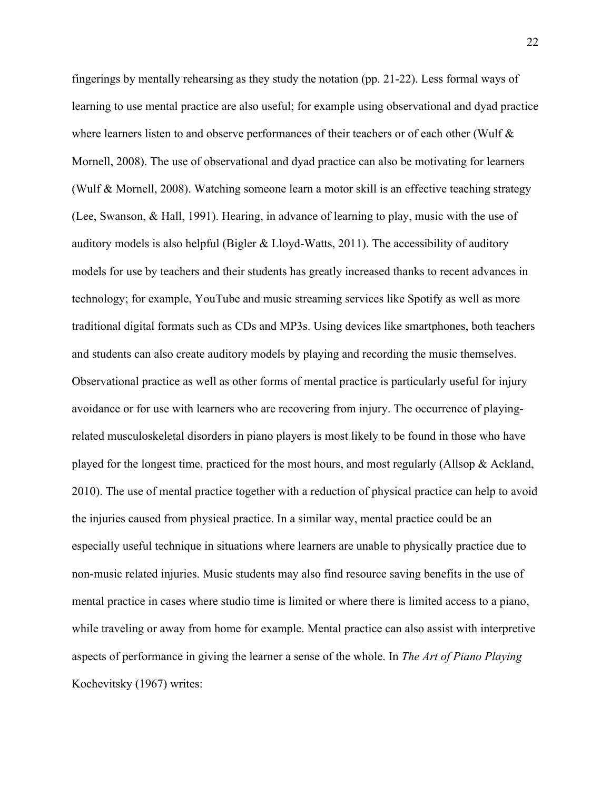fingerings by mentally rehearsing as they study the notation (pp. 21-22). Less formal ways of learning to use mental practice are also useful; for example using observational and dyad practice where learners listen to and observe performances of their teachers or of each other (Wulf & Mornell, 2008). The use of observational and dyad practice can also be motivating for learners (Wulf & Mornell, 2008). Watching someone learn a motor skill is an effective teaching strategy (Lee, Swanson, & Hall, 1991). Hearing, in advance of learning to play, music with the use of auditory models is also helpful (Bigler & Lloyd-Watts, 2011). The accessibility of auditory models for use by teachers and their students has greatly increased thanks to recent advances in technology; for example, YouTube and music streaming services like Spotify as well as more traditional digital formats such as CDs and MP3s. Using devices like smartphones, both teachers and students can also create auditory models by playing and recording the music themselves. Observational practice as well as other forms of mental practice is particularly useful for injury avoidance or for use with learners who are recovering from injury. The occurrence of playingrelated musculoskeletal disorders in piano players is most likely to be found in those who have played for the longest time, practiced for the most hours, and most regularly (Allsop & Ackland, 2010). The use of mental practice together with a reduction of physical practice can help to avoid the injuries caused from physical practice. In a similar way, mental practice could be an especially useful technique in situations where learners are unable to physically practice due to non-music related injuries. Music students may also find resource saving benefits in the use of mental practice in cases where studio time is limited or where there is limited access to a piano, while traveling or away from home for example. Mental practice can also assist with interpretive aspects of performance in giving the learner a sense of the whole. In *The Art of Piano Playing*  Kochevitsky (1967) writes: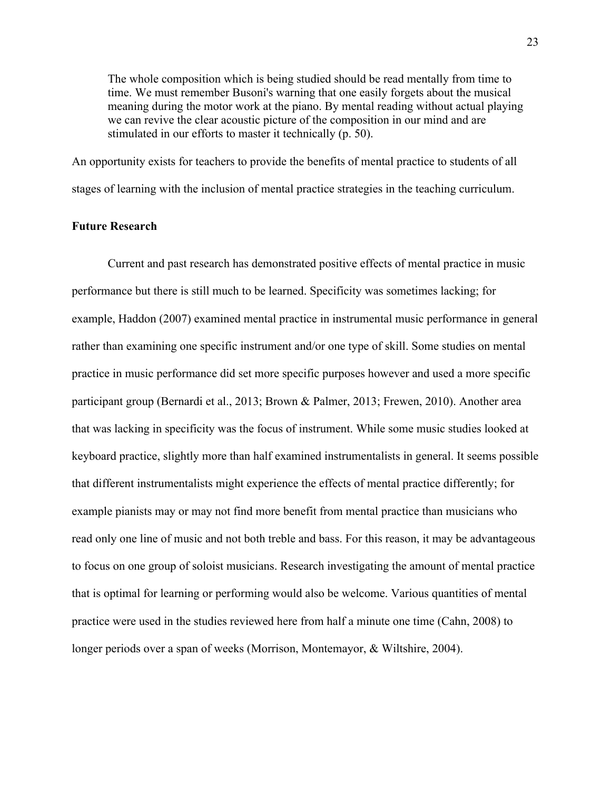The whole composition which is being studied should be read mentally from time to time. We must remember Busoni's warning that one easily forgets about the musical meaning during the motor work at the piano. By mental reading without actual playing we can revive the clear acoustic picture of the composition in our mind and are stimulated in our efforts to master it technically (p. 50).

An opportunity exists for teachers to provide the benefits of mental practice to students of all stages of learning with the inclusion of mental practice strategies in the teaching curriculum.

# **Future Research**

Current and past research has demonstrated positive effects of mental practice in music performance but there is still much to be learned. Specificity was sometimes lacking; for example, Haddon (2007) examined mental practice in instrumental music performance in general rather than examining one specific instrument and/or one type of skill. Some studies on mental practice in music performance did set more specific purposes however and used a more specific participant group (Bernardi et al., 2013; Brown & Palmer, 2013; Frewen, 2010). Another area that was lacking in specificity was the focus of instrument. While some music studies looked at keyboard practice, slightly more than half examined instrumentalists in general. It seems possible that different instrumentalists might experience the effects of mental practice differently; for example pianists may or may not find more benefit from mental practice than musicians who read only one line of music and not both treble and bass. For this reason, it may be advantageous to focus on one group of soloist musicians. Research investigating the amount of mental practice that is optimal for learning or performing would also be welcome. Various quantities of mental practice were used in the studies reviewed here from half a minute one time (Cahn, 2008) to longer periods over a span of weeks (Morrison, Montemayor, & Wiltshire, 2004).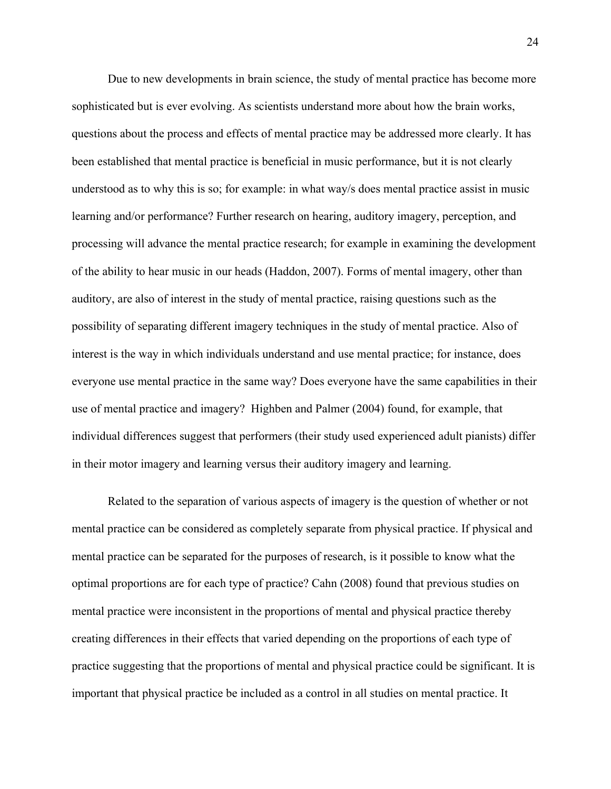Due to new developments in brain science, the study of mental practice has become more sophisticated but is ever evolving. As scientists understand more about how the brain works, questions about the process and effects of mental practice may be addressed more clearly. It has been established that mental practice is beneficial in music performance, but it is not clearly understood as to why this is so; for example: in what way/s does mental practice assist in music learning and/or performance? Further research on hearing, auditory imagery, perception, and processing will advance the mental practice research; for example in examining the development of the ability to hear music in our heads (Haddon, 2007). Forms of mental imagery, other than auditory, are also of interest in the study of mental practice, raising questions such as the possibility of separating different imagery techniques in the study of mental practice. Also of interest is the way in which individuals understand and use mental practice; for instance, does everyone use mental practice in the same way? Does everyone have the same capabilities in their use of mental practice and imagery? Highben and Palmer (2004) found, for example, that individual differences suggest that performers (their study used experienced adult pianists) differ in their motor imagery and learning versus their auditory imagery and learning.

Related to the separation of various aspects of imagery is the question of whether or not mental practice can be considered as completely separate from physical practice. If physical and mental practice can be separated for the purposes of research, is it possible to know what the optimal proportions are for each type of practice? Cahn (2008) found that previous studies on mental practice were inconsistent in the proportions of mental and physical practice thereby creating differences in their effects that varied depending on the proportions of each type of practice suggesting that the proportions of mental and physical practice could be significant. It is important that physical practice be included as a control in all studies on mental practice. It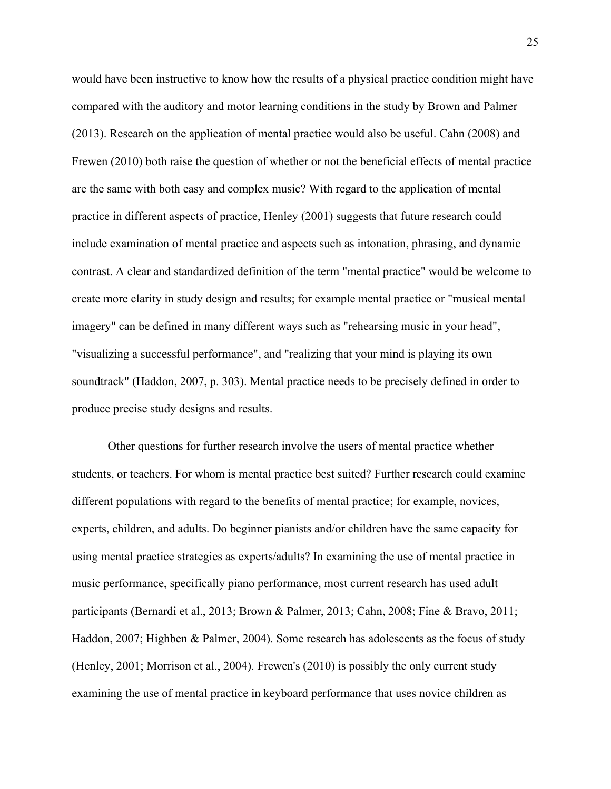would have been instructive to know how the results of a physical practice condition might have compared with the auditory and motor learning conditions in the study by Brown and Palmer (2013). Research on the application of mental practice would also be useful. Cahn (2008) and Frewen (2010) both raise the question of whether or not the beneficial effects of mental practice are the same with both easy and complex music? With regard to the application of mental practice in different aspects of practice, Henley (2001) suggests that future research could include examination of mental practice and aspects such as intonation, phrasing, and dynamic contrast. A clear and standardized definition of the term "mental practice" would be welcome to create more clarity in study design and results; for example mental practice or "musical mental imagery" can be defined in many different ways such as "rehearsing music in your head", "visualizing a successful performance", and "realizing that your mind is playing its own soundtrack" (Haddon, 2007, p. 303). Mental practice needs to be precisely defined in order to produce precise study designs and results.

Other questions for further research involve the users of mental practice whether students, or teachers. For whom is mental practice best suited? Further research could examine different populations with regard to the benefits of mental practice; for example, novices, experts, children, and adults. Do beginner pianists and/or children have the same capacity for using mental practice strategies as experts/adults? In examining the use of mental practice in music performance, specifically piano performance, most current research has used adult participants (Bernardi et al., 2013; Brown & Palmer, 2013; Cahn, 2008; Fine & Bravo, 2011; Haddon, 2007; Highben & Palmer, 2004). Some research has adolescents as the focus of study (Henley, 2001; Morrison et al., 2004). Frewen's (2010) is possibly the only current study examining the use of mental practice in keyboard performance that uses novice children as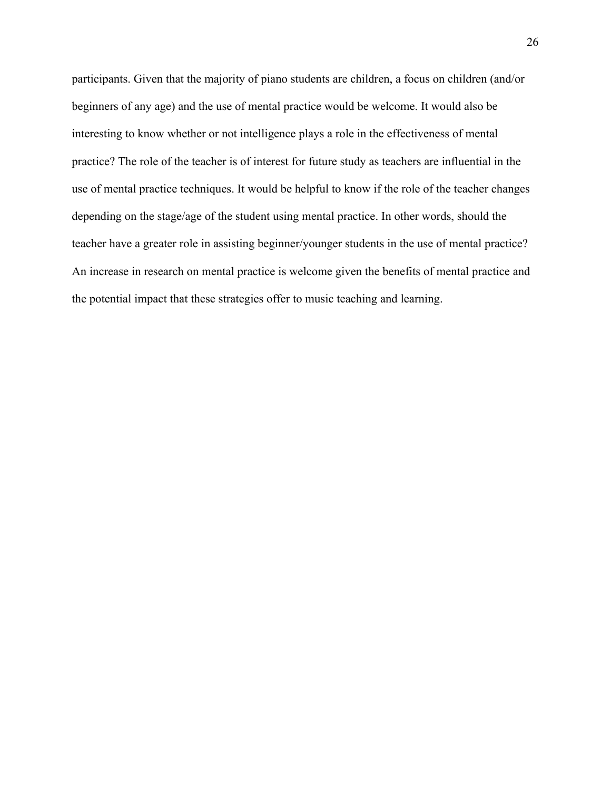participants. Given that the majority of piano students are children, a focus on children (and/or beginners of any age) and the use of mental practice would be welcome. It would also be interesting to know whether or not intelligence plays a role in the effectiveness of mental practice? The role of the teacher is of interest for future study as teachers are influential in the use of mental practice techniques. It would be helpful to know if the role of the teacher changes depending on the stage/age of the student using mental practice. In other words, should the teacher have a greater role in assisting beginner/younger students in the use of mental practice? An increase in research on mental practice is welcome given the benefits of mental practice and the potential impact that these strategies offer to music teaching and learning.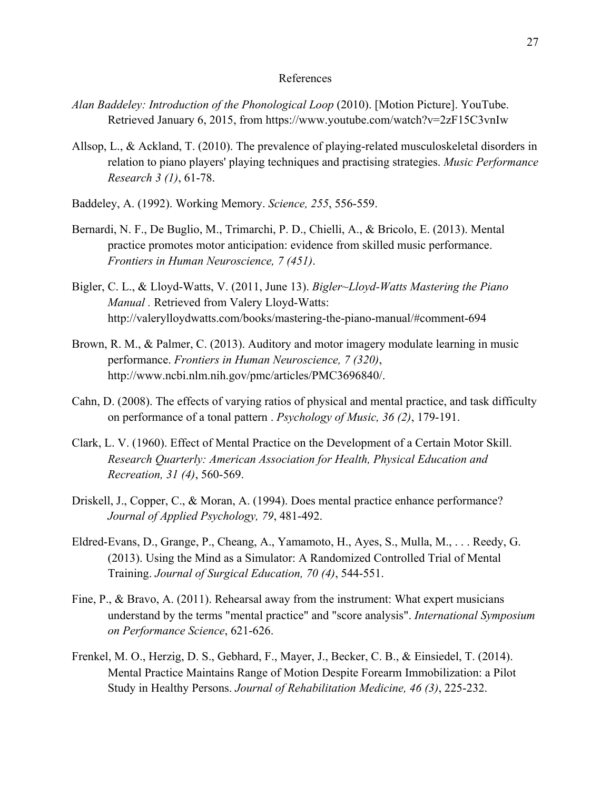### References

- *Alan Baddeley: Introduction of the Phonological Loop* (2010). [Motion Picture]. YouTube. Retrieved January 6, 2015, from https://www.youtube.com/watch?v=2zF15C3vnIw
- Allsop, L., & Ackland, T. (2010). The prevalence of playing-related musculoskeletal disorders in relation to piano players' playing techniques and practising strategies. *Music Performance Research 3 (1)*, 61-78.
- Baddeley, A. (1992). Working Memory. *Science, 255*, 556-559.
- Bernardi, N. F., De Buglio, M., Trimarchi, P. D., Chielli, A., & Bricolo, E. (2013). Mental practice promotes motor anticipation: evidence from skilled music performance. *Frontiers in Human Neuroscience, 7 (451)*.
- Bigler, C. L., & Lloyd-Watts, V. (2011, June 13). *Bigler~Lloyd-Watts Mastering the Piano Manual .* Retrieved from Valery Lloyd-Watts: http://valerylloydwatts.com/books/mastering-the-piano-manual/#comment-694
- Brown, R. M., & Palmer, C. (2013). Auditory and motor imagery modulate learning in music performance. *Frontiers in Human Neuroscience, 7 (320)*, http://www.ncbi.nlm.nih.gov/pmc/articles/PMC3696840/.
- Cahn, D. (2008). The effects of varying ratios of physical and mental practice, and task difficulty on performance of a tonal pattern . *Psychology of Music, 36 (2)*, 179-191.
- Clark, L. V. (1960). Effect of Mental Practice on the Development of a Certain Motor Skill. *Research Quarterly: American Association for Health, Physical Education and Recreation, 31 (4)*, 560-569.
- Driskell, J., Copper, C., & Moran, A. (1994). Does mental practice enhance performance? *Journal of Applied Psychology, 79*, 481-492.
- Eldred-Evans, D., Grange, P., Cheang, A., Yamamoto, H., Ayes, S., Mulla, M., . . . Reedy, G. (2013). Using the Mind as a Simulator: A Randomized Controlled Trial of Mental Training. *Journal of Surgical Education, 70 (4)*, 544-551.
- Fine, P., & Bravo, A. (2011). Rehearsal away from the instrument: What expert musicians understand by the terms "mental practice" and "score analysis". *International Symposium on Performance Science*, 621-626.
- Frenkel, M. O., Herzig, D. S., Gebhard, F., Mayer, J., Becker, C. B., & Einsiedel, T. (2014). Mental Practice Maintains Range of Motion Despite Forearm Immobilization: a Pilot Study in Healthy Persons. *Journal of Rehabilitation Medicine, 46 (3)*, 225-232.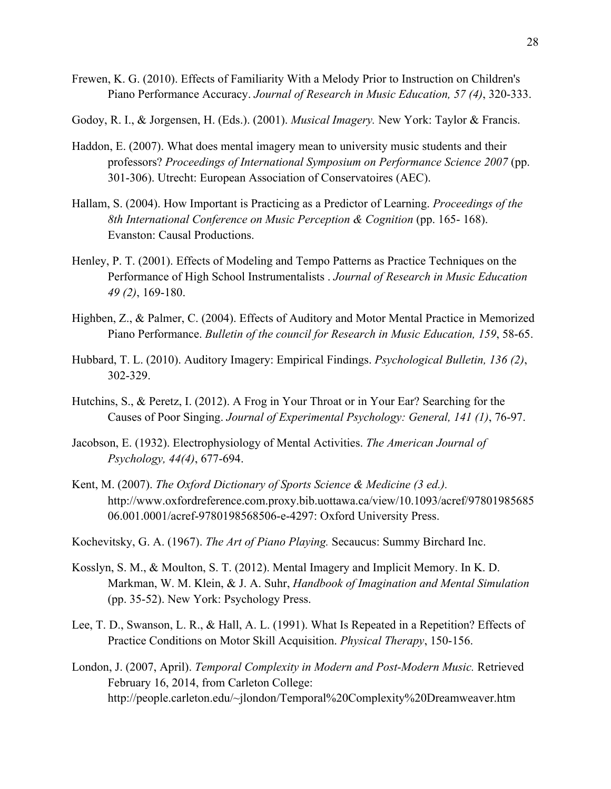Frewen, K. G. (2010). Effects of Familiarity With a Melody Prior to Instruction on Children's Piano Performance Accuracy. *Journal of Research in Music Education, 57 (4)*, 320-333.

Godoy, R. I., & Jorgensen, H. (Eds.). (2001). *Musical Imagery.* New York: Taylor & Francis.

- Haddon, E. (2007). What does mental imagery mean to university music students and their professors? *Proceedings of International Symposium on Performance Science 2007* (pp. 301-306). Utrecht: European Association of Conservatoires (AEC).
- Hallam, S. (2004). How Important is Practicing as a Predictor of Learning. *Proceedings of the 8th International Conference on Music Perception & Cognition* (pp. 165- 168). Evanston: Causal Productions.
- Henley, P. T. (2001). Effects of Modeling and Tempo Patterns as Practice Techniques on the Performance of High School Instrumentalists . *Journal of Research in Music Education 49 (2)*, 169-180.
- Highben, Z., & Palmer, C. (2004). Effects of Auditory and Motor Mental Practice in Memorized Piano Performance. *Bulletin of the council for Research in Music Education, 159*, 58-65.
- Hubbard, T. L. (2010). Auditory Imagery: Empirical Findings. *Psychological Bulletin, 136 (2)*, 302-329.
- Hutchins, S., & Peretz, I. (2012). A Frog in Your Throat or in Your Ear? Searching for the Causes of Poor Singing. *Journal of Experimental Psychology: General, 141 (1)*, 76-97.
- Jacobson, E. (1932). Electrophysiology of Mental Activities. *The American Journal of Psychology, 44(4)*, 677-694.
- Kent, M. (2007). *The Oxford Dictionary of Sports Science & Medicine (3 ed.).* http://www.oxfordreference.com.proxy.bib.uottawa.ca/view/10.1093/acref/97801985685 06.001.0001/acref-9780198568506-e-4297: Oxford University Press.
- Kochevitsky, G. A. (1967). *The Art of Piano Playing.* Secaucus: Summy Birchard Inc.
- Kosslyn, S. M., & Moulton, S. T. (2012). Mental Imagery and Implicit Memory. In K. D. Markman, W. M. Klein, & J. A. Suhr, *Handbook of Imagination and Mental Simulation* (pp. 35-52). New York: Psychology Press.
- Lee, T. D., Swanson, L. R., & Hall, A. L. (1991). What Is Repeated in a Repetition? Effects of Practice Conditions on Motor Skill Acquisition. *Physical Therapy*, 150-156.
- London, J. (2007, April). *Temporal Complexity in Modern and Post-Modern Music.* Retrieved February 16, 2014, from Carleton College: http://people.carleton.edu/~jlondon/Temporal%20Complexity%20Dreamweaver.htm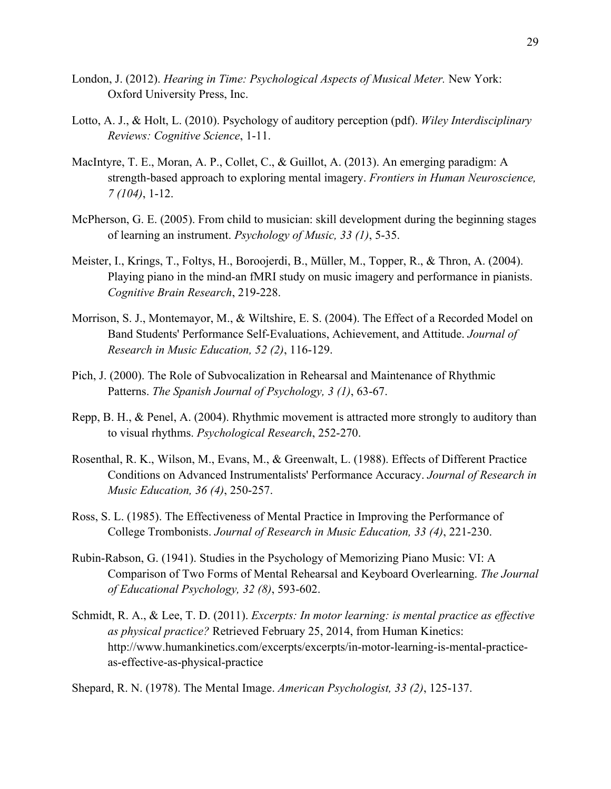- London, J. (2012). *Hearing in Time: Psychological Aspects of Musical Meter.* New York: Oxford University Press, Inc.
- Lotto, A. J., & Holt, L. (2010). Psychology of auditory perception (pdf). *Wiley Interdisciplinary Reviews: Cognitive Science*, 1-11.
- MacIntyre, T. E., Moran, A. P., Collet, C., & Guillot, A. (2013). An emerging paradigm: A strength-based approach to exploring mental imagery. *Frontiers in Human Neuroscience, 7 (104)*, 1-12.
- McPherson, G. E. (2005). From child to musician: skill development during the beginning stages of learning an instrument. *Psychology of Music, 33 (1)*, 5-35.
- Meister, I., Krings, T., Foltys, H., Boroojerdi, B., Müller, M., Topper, R., & Thron, A. (2004). Playing piano in the mind-an fMRI study on music imagery and performance in pianists. *Cognitive Brain Research*, 219-228.
- Morrison, S. J., Montemayor, M., & Wiltshire, E. S. (2004). The Effect of a Recorded Model on Band Students' Performance Self-Evaluations, Achievement, and Attitude. *Journal of Research in Music Education, 52 (2)*, 116-129.
- Pich, J. (2000). The Role of Subvocalization in Rehearsal and Maintenance of Rhythmic Patterns. *The Spanish Journal of Psychology, 3 (1)*, 63-67.
- Repp, B. H., & Penel, A. (2004). Rhythmic movement is attracted more strongly to auditory than to visual rhythms. *Psychological Research*, 252-270.
- Rosenthal, R. K., Wilson, M., Evans, M., & Greenwalt, L. (1988). Effects of Different Practice Conditions on Advanced Instrumentalists' Performance Accuracy. *Journal of Research in Music Education, 36 (4)*, 250-257.
- Ross, S. L. (1985). The Effectiveness of Mental Practice in Improving the Performance of College Trombonists. *Journal of Research in Music Education, 33 (4)*, 221-230.
- Rubin-Rabson, G. (1941). Studies in the Psychology of Memorizing Piano Music: VI: A Comparison of Two Forms of Mental Rehearsal and Keyboard Overlearning. *The Journal of Educational Psychology, 32 (8)*, 593-602.
- Schmidt, R. A., & Lee, T. D. (2011). *Excerpts: In motor learning: is mental practice as effective as physical practice?* Retrieved February 25, 2014, from Human Kinetics: http://www.humankinetics.com/excerpts/excerpts/in-motor-learning-is-mental-practiceas-effective-as-physical-practice

Shepard, R. N. (1978). The Mental Image. *American Psychologist, 33 (2)*, 125-137.